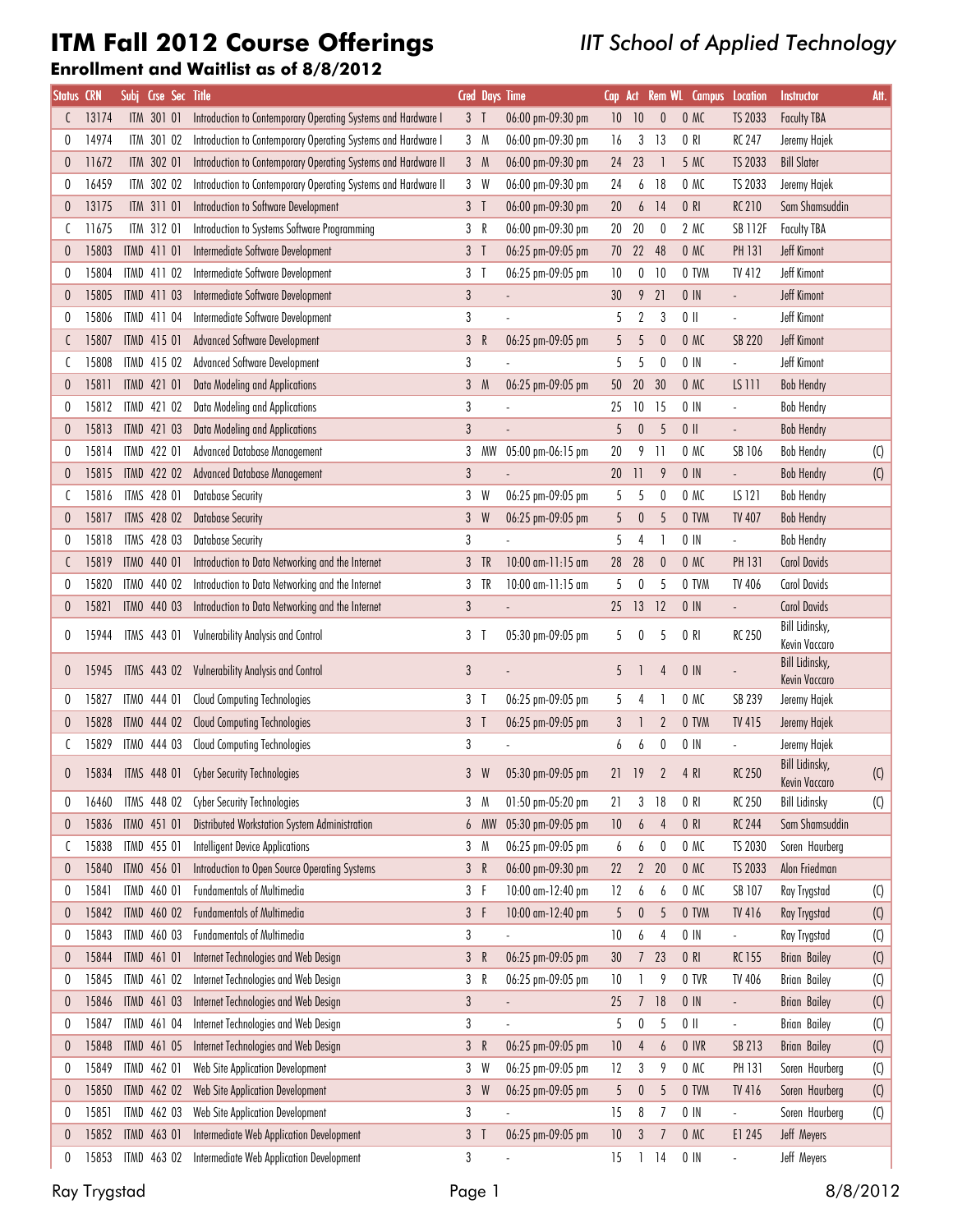# ITM Fall 2012 Course Offerings

### IIT School of Applied Technology

#### Enrollment and Waitlist as of 8/8/2012

| <b>Status CRN</b> |       | Subj | Crse Sec Title     |                                                                |                |              | <b>Cred Days Time</b> | Cap             |                  |                  | Act Rem WL Campus Location |                          | <b>Instructor</b>                      | Att.                      |
|-------------------|-------|------|--------------------|----------------------------------------------------------------|----------------|--------------|-----------------------|-----------------|------------------|------------------|----------------------------|--------------------------|----------------------------------------|---------------------------|
|                   | 13174 |      | ITM 301 01         | Introduction to Contemporary Operating Systems and Hardware I  | $3-1$          |              | 06:00 pm-09:30 pm     | 10 <sup>°</sup> | 10               | $\theta$         | 0 M C                      | TS 2033                  | <b>Faculty TBA</b>                     |                           |
| 0                 | 14974 |      | ITM 301 02         | Introduction to Contemporary Operating Systems and Hardware I  |                | 3 M          | 06:00 pm-09:30 pm     | 16              | 3                | 13               | 0 R                        | RC 247                   | Jeremy Hajek                           |                           |
| 0                 | 11672 |      | ITM 302 01         | Introduction to Contemporary Operating Systems and Hardware II |                | 3 M          | 06:00 pm-09:30 pm     | 24              | 23               | -1               | 5 MC                       | TS 2033                  | <b>Bill Slater</b>                     |                           |
| 0                 | 16459 |      | ITM 302 02         | Introduction to Contemporary Operating Systems and Hardware II |                | 3 W          | 06:00 pm-09:30 pm     | 24              | 6                | 18               | 0 M                        | TS 2033                  | Jeremy Hajek                           |                           |
| 0                 | 13175 |      | ITM 311 01         | Introduction to Software Development                           | $3-1$          |              | 06:00 pm-09:30 pm     | 20              | 6                | 14               | 0 R                        | <b>RC 210</b>            | Sam Shamsuddin                         |                           |
| C                 | 11675 |      | ITM 312 01         | Introduction to Systems Software Programming                   | 3 R            |              | 06:00 pm-09:30 pm     | 20              | 20               | 0                | 2 MC                       | <b>SB 112F</b>           | <b>Faculty TBA</b>                     |                           |
| 0                 | 15803 |      | ITMD 411 01        | Intermediate Software Development                              | $3-1$          |              | 06:25 pm-09:05 pm     | 70              | 22               | 48               | 0 M C                      | <b>PH 131</b>            | <b>Jeff Kimont</b>                     |                           |
| 0                 | 15804 |      | ITMD 411 02        | Intermediate Software Development                              | 3 <sub>1</sub> |              | 06:25 pm-09:05 pm     | 10              | $\pmb{0}$        | 10               | 0 TVM                      | TV 412                   | <b>Jeff Kimont</b>                     |                           |
| 0                 | 15805 |      | ITMD 411 03        | Intermediate Software Development                              | $\sqrt{3}$     |              |                       | $30\,$          | 9                | 21               | $0$ IN                     |                          | <b>Jeff Kimont</b>                     |                           |
| 0                 | 15806 |      | ITMD 411 04        | Intermediate Software Development                              | $\sqrt{3}$     |              |                       | 5               | $\boldsymbol{2}$ | 3                | $0$                        | $\frac{1}{2}$            | Jeff Kimont                            |                           |
| C                 | 15807 |      | ITMD 415 01        | Advanced Software Development                                  | 3 <sup>5</sup> | $\mathbb{R}$ | 06:25 pm-09:05 pm     | 5               | 5                | $\boldsymbol{0}$ | 0 M C                      | <b>SB 220</b>            | <b>Jeff Kimont</b>                     |                           |
| C                 | 15808 |      | ITMD 415 02        | <b>Advanced Software Development</b>                           | 3              |              |                       | 5               | 5                | 0                | $0$ IN                     |                          | Jeff Kimont                            |                           |
| 0                 | 15811 |      | ITMD 421 01        | Data Modeling and Applications                                 |                | 3 M          | 06:25 pm-09:05 pm     | 50              | $20\,$           | 30               | 0 M C                      | <b>LS 111</b>            | <b>Bob Hendry</b>                      |                           |
| 0                 | 15812 |      | ITMD 421 02        | Data Modeling and Applications                                 | $\sqrt{3}$     |              |                       | 25              | $10\,$           | 15               | $0$ IN                     | $\overline{\phantom{a}}$ | <b>Bob Hendry</b>                      |                           |
| 0                 | 15813 |      | ITMD 421 03        | Data Modeling and Applications                                 | $\mathfrak{z}$ |              |                       | 5               | $\pmb{0}$        | 5                | $0$ II                     | $\overline{\phantom{a}}$ | <b>Bob Hendry</b>                      |                           |
| 0                 | 15814 |      | ITMD 422 01        | Advanced Database Management                                   | 3              | МW           | 05:00 pm-06:15 pm     | $20\,$          | 9                | $\overline{11}$  | O MC                       | SB 106                   | <b>Bob Hendry</b>                      | $\left( 0 \right)$        |
| 0                 | 15815 |      | ITMD 422 02        | Advanced Database Management                                   | $\sqrt{3}$     |              |                       | $20\,$          | 11               | 9                | $0$ IN                     |                          | <b>Bob Hendry</b>                      | (C)                       |
|                   | 15816 |      | ITMS 428 01        | <b>Database Security</b>                                       |                | 3 W          | 06:25 pm-09:05 pm     | 5               | 5                | $\pmb{0}$        | 0 MC                       | LS 121                   | <b>Bob Hendry</b>                      |                           |
| 0                 | 15817 |      | ITMS 428 02        | <b>Database Security</b>                                       | $\mathbf{3}$   | W            | 06:25 pm-09:05 pm     | 5               | 0                | 5                | 0 TVM                      | <b>TV 407</b>            | <b>Bob Hendry</b>                      |                           |
| 0                 | 15818 |      | ITMS 428 03        | <b>Database Security</b>                                       | 3              |              |                       | 5               | 4                | -1               | $0$ IN                     | $\overline{\phantom{a}}$ | <b>Bob Hendry</b>                      |                           |
| C                 | 15819 |      | ITMO 440 01        | Introduction to Data Networking and the Internet               |                | $3$ TR       | 10:00 am-11:15 am     | 28              | 28               | $\theta$         | 0 M C                      | <b>PH 131</b>            | <b>Carol Davids</b>                    |                           |
| 0                 | 15820 |      | ITMO 440 02        | Introduction to Data Networking and the Internet               |                | 3 TR         | 10:00 am-11:15 am     | 5               | 0                | 5                | 0 TVM                      | TV 406                   | <b>Carol Davids</b>                    |                           |
| 0                 | 15821 |      | ITMO 440 03        | Introduction to Data Networking and the Internet               | $\mathfrak{z}$ |              |                       |                 | 25 13            | 12               | $0$ IN                     | $\frac{1}{2}$            | <b>Carol Davids</b>                    |                           |
| 0                 | 15944 |      | ITMS 443 01        | <b>Vulnerability Analysis and Control</b>                      | 3 <sub>1</sub> |              | 05:30 pm-09:05 pm     | 5               | 0                | 5                | 0 R                        | <b>RC 250</b>            | Bill Lidinsky,                         |                           |
|                   |       |      |                    |                                                                |                |              |                       |                 |                  |                  |                            |                          | Kevin Vaccaro<br>Bill Lidinsky,        |                           |
| 0                 | 15945 |      | <b>ITMS 443 02</b> | Vulnerability Analysis and Control                             | 3              |              |                       | 5               |                  | 4                | $0$ IN                     |                          | <b>Kevin Vaccaro</b>                   |                           |
| 0                 | 15827 |      | ITMO 444 01        | Cloud Computing Technologies                                   | 3 T            |              | 06:25 pm-09:05 pm     | 5               | 4                |                  | O MC                       | SB 239                   | Jeremy Hajek                           |                           |
| 0                 | 15828 |      | ITMO 444 02        | <b>Cloud Computing Technologies</b>                            | 3 <sub>1</sub> |              | 06:25 pm-09:05 pm     | 3               |                  | $\overline{2}$   | 0 TVM                      | TV 415                   | Jeremy Hajek                           |                           |
| C                 | 15829 |      | ITMO 444 03        | Cloud Computing Technologies                                   | 3              |              |                       | 6               | 6                | 0                | $0$ IN                     |                          | Jeremy Hajek                           |                           |
| 0                 | 15834 |      | ITMS 448 01        | <b>Cyber Security Technologies</b>                             | 3 <sup>1</sup> | W            | 05:30 pm-09:05 pm     | 21 19           |                  | $\overline{2}$   | 4 RI                       | <b>RC 250</b>            | <b>Bill Lidinsky,</b><br>Kevin Vaccaro | $\left( 0 \right)$        |
| 0                 | 16460 |      | ITMS 448 02        | <b>Cyber Security Technologies</b>                             | 3              | M            | 01:50 pm-05:20 pm     | 21              | 3                | 18               | 0 R                        | <b>RC 250</b>            | <b>Bill Lidinsky</b>                   | $\left( 0\right)$         |
| 0                 | 15836 |      | ITMO 451 01        | Distributed Workstation System Administration                  | 6              | <b>MW</b>    | 05:30 pm-09:05 pm     | $10\,$          | 6                | 4                | 0 RI                       | <b>RC 244</b>            | Sam Shamsuddin                         |                           |
| C                 | 15838 |      | ITMD 455 01        | <b>Intelligent Device Applications</b>                         | 3              | M            | 06:25 pm-09:05 pm     | 6               | 6                | $\pmb{0}$        | 0 MC                       | TS 2030                  | Soren Haurberg                         |                           |
| 0                 | 15840 |      | ITMO 456 01        | Introduction to Open Source Operating Systems                  | 3 R            |              | 06:00 pm-09:30 pm     | 22              | $\mathbf{2}$     | 20               | 0 M C                      | TS 2033                  | Alon Friedman                          |                           |
| 0                 | 15841 |      | ITMD 460 01        | Fundamentals of Multimedia                                     | 3 F            |              | 10:00 am-12:40 pm     | 12              | 6                | 6                | 0 MC                       | SB 107                   | Ray Trygstad                           | $\left( 0 \right)$        |
| 0                 | 15842 |      | ITMD 460 02        | <b>Fundamentals of Multimedia</b>                              | 3 F            |              | 10:00 am-12:40 pm     | 5               | $\pmb{0}$        | 5                | 0 TVM                      | TV 416                   | Ray Trygstad                           | $\left( 0 \right)$        |
| 0                 | 15843 |      | ITMD 460 03        | <b>Fundamentals of Multimedia</b>                              | $\sqrt{3}$     |              |                       | $10$            | 6                | 4                | $0$ IN                     | $\frac{1}{2}$            | Ray Trygstad                           | $\left(\mathrm{C}\right)$ |
| 0                 | 15844 |      | ITMD 461 01        | Internet Technologies and Web Design                           | $\mathfrak{z}$ | $\mathsf R$  | 06:25 pm-09:05 pm     | 30 <sup>°</sup> | 7                | 23               | 0 R                        | <b>RC 155</b>            | <b>Brian Bailey</b>                    | $\left(\mathrm{C}\right)$ |
| 0                 | 15845 |      | ITMD 461 02        | Internet Technologies and Web Design                           | 3              | R            | 06:25 pm-09:05 pm     | 10              |                  | 9                | 0 TVR                      | TV 406                   | <b>Brian Bailey</b>                    | $\left( 0 \right)$        |
| 0                 | 15846 |      | ITMD 461 03        | Internet Technologies and Web Design                           | $\sqrt{3}$     |              | $\overline{a}$        | 25              | $\overline{7}$   | 18               | $0$ IN                     | $\Box$                   | <b>Brian Bailey</b>                    | $\left( 0\right)$         |
| 0                 | 15847 |      | ITMD 461 04        | Internet Technologies and Web Design                           | $\sqrt{3}$     |              |                       | 5               | 0                | 5                | $0$                        | $\overline{\phantom{a}}$ | <b>Brian Bailey</b>                    | $\left(\mathrm{C}\right)$ |
| 0                 | 15848 |      | ITMD 461 05        | Internet Technologies and Web Design                           | 3 R            |              | 06:25 pm-09:05 pm     | 10              | 4                | 6                | 0 IVR                      | SB 213                   | <b>Brian Bailey</b>                    | $\left( 0 \right)$        |
| 0                 | 15849 |      | ITMD 462 01        | Web Site Application Development                               | 3              | W            | 06:25 pm-09:05 pm     | 12              | 3                | 9                | 0 MC                       | PH 131                   | Soren Haurberg                         | $\left( 0 \right)$        |
| 0                 | 15850 |      | ITMD 462 02        | Web Site Application Development                               |                | 3 W          | 06:25 pm-09:05 pm     | 5               | $\pmb{0}$        | $5\,$            | 0 TVM                      | TV 416                   | Soren Haurberg                         | (C)                       |
| 0                 | 15851 |      | ITMD 462 03        | Web Site Application Development                               | $\sqrt{3}$     |              |                       | 15              | 8                | $\overline{1}$   | $0$ IN                     | $\frac{1}{2}$            | Soren Haurberg                         | $\left( 0 \right)$        |
| 0                 | 15852 |      | ITMD 463 01        | Intermediate Web Application Development                       | $3-1$          |              | 06:25 pm-09:05 pm     | 10              | 3                | $\overline{1}$   | 0 M C                      | E1 245                   | Jeff Meyers                            |                           |
| 0                 | 15853 |      | ITMD 463 02        | Intermediate Web Application Development                       | 3              |              |                       | 15              |                  | $1 \t14$         | $0$ $\mathsf{IN}$          | $\overline{\phantom{a}}$ | Jeff Meyers                            |                           |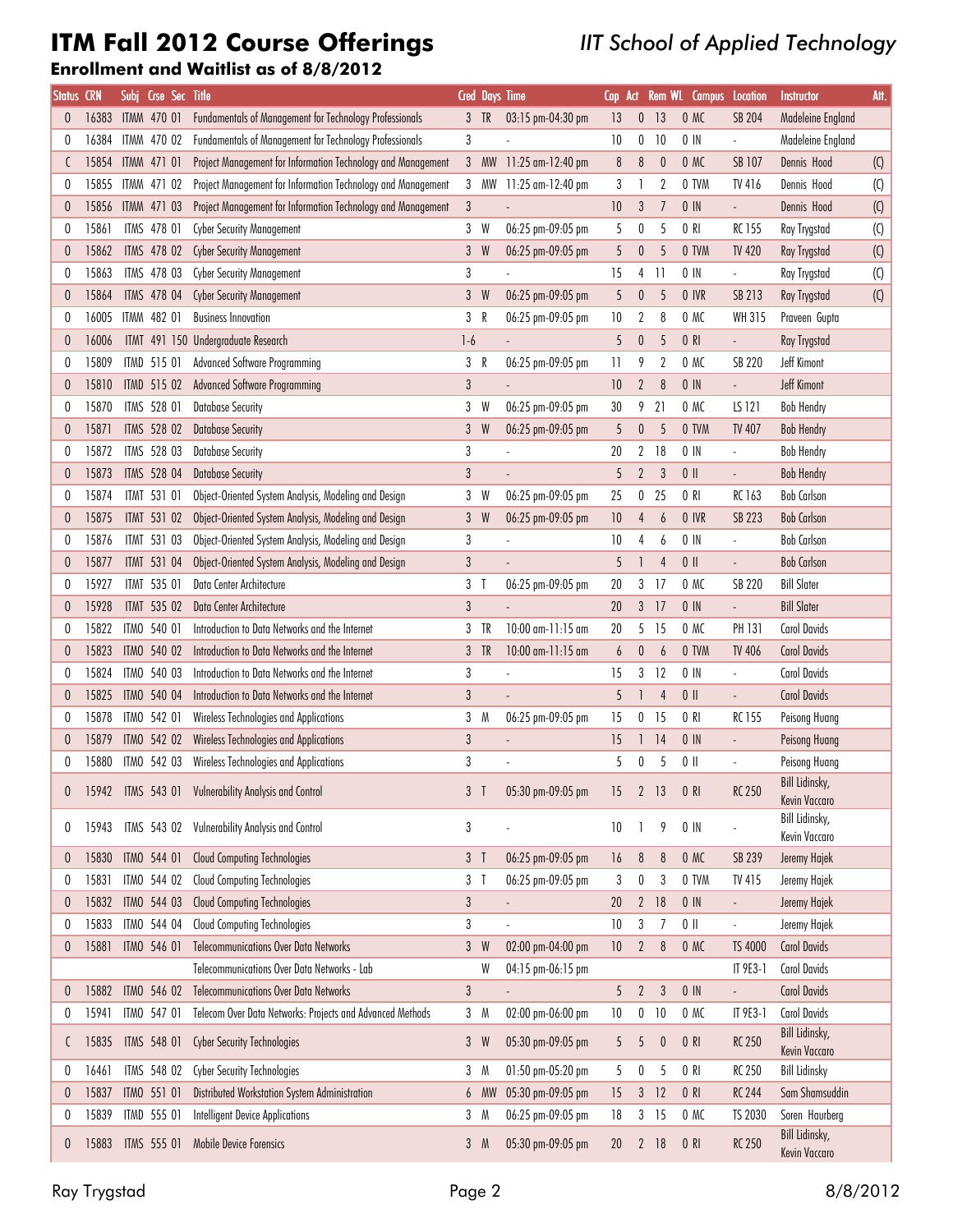## ITM Fall 2012 Course Offerings

### IIT School of Applied Technology

#### Enrollment and Waitlist as of 8/8/2012

| <b>Status</b>    | <b>CRN</b> | Subj, | Crse Sec Title      |                                                              |                |             | <b>Cred Days Time</b>  | Cap              | Act              |                       | Rem WL Campus                                         | Location                  | Instructor                      | Att.                      |
|------------------|------------|-------|---------------------|--------------------------------------------------------------|----------------|-------------|------------------------|------------------|------------------|-----------------------|-------------------------------------------------------|---------------------------|---------------------------------|---------------------------|
| 0                | 16383      |       | <b>ITMM 470 01</b>  | Fundamentals of Management for Technology Professionals      | 3 <sup>1</sup> | TR          | 03:15 pm-04:30 pm      | 13               | $\bf{0}$         | 13                    | 0 M C                                                 | <b>SB 204</b>             | Madeleine England               |                           |
|                  | 16384      |       | ITMM 470 02         | Fundamentals of Management for Technology Professionals      | 3              |             |                        | 10               | 0                | 10                    | $0$ $\overline{\phantom{1}}$ $\overline{\phantom{1}}$ | $\overline{\phantom{a}}$  | Madeleine England               |                           |
|                  | 15854      |       | ITMM 471 01         | Project Management for Information Technology and Management | 3              | <b>MW</b>   | 11:25 am-12:40 pm      | $\boldsymbol{8}$ | $\boldsymbol{8}$ | $\boldsymbol{0}$      | 0 M C                                                 | SB 107                    | Dennis Hood                     | $(\mathsf{C})$            |
| 0                | 15855      |       | ITMM 471 02         | Project Management for Information Technology and Management | 3              | МW          | 11:25 am-12:40 pm      | 3                | 1                | 2                     | 0 TVM                                                 | TV 416                    | Dennis Hood                     | $(\mathsf{C})$            |
| $\boldsymbol{0}$ | 15856      |       | ITMM 471 03         | Project Management for Information Technology and Management | $\sqrt{3}$     |             |                        | $10\,$           | $\sqrt{3}$       | $\overline{1}$        | $0$ IN                                                | $\mathbb{R}^{\mathbb{Z}}$ | Dennis Hood                     | $\left( 0 \right)$        |
| 0                | 15861      |       | ITMS 478 01         | <b>Cyber Security Management</b>                             | 3              | W           | 06:25 pm-09:05 pm      | 5                | 0                | 5                     | 0 R                                                   | <b>RC155</b>              | Ray Trygstad                    | $\left(\mathrm{C}\right)$ |
| $\theta$         | 15862      |       | <b>ITMS 478 02</b>  | <b>Cyber Security Management</b>                             | 3              | W           | 06:25 pm-09:05 pm      | 5                | $\boldsymbol{0}$ | 5                     | 0 TVM                                                 | <b>TV 420</b>             | Ray Trygstad                    |                           |
|                  |            |       | ITMS 478 03         |                                                              |                |             |                        |                  |                  | 11                    |                                                       |                           |                                 | $\left( 0 \right)$        |
|                  | 15863      |       |                     | <b>Cyber Security Management</b>                             | 3              |             |                        | 15               | 4                |                       | $0$ IN                                                | ÷,                        | Ray Trygstad                    | $\left(\mathrm{C}\right)$ |
| $\boldsymbol{0}$ | 15864      |       | <b>ITMS 478 04</b>  | <b>Cyber Security Management</b>                             | 3              | W           | 06:25 pm-09:05 pm      | 5                | $\pmb{0}$        | 5                     | 0 IVR                                                 | SB 213                    | Ray Trygstad                    | $\left( 0 \right)$        |
|                  | 16005      |       | ITMM 482 01         | <b>Business Innovation</b>                                   | 3              | R           | 06:25 pm-09:05 pm      | 10               | 2                | 8                     | 0 M                                                   | WH 315                    | Praveen Gupta                   |                           |
| $\theta$         | 16006      |       | <b>ITMT 491 150</b> | Undergraduate Research                                       | $1-6$          |             |                        | 5                | $\pmb{0}$        | 5                     | 0 R                                                   | ÷,                        | Ray Trygstad                    |                           |
| 0                | 15809      |       | ITMD 515 01         | <b>Advanced Software Programming</b>                         | 3              | R           | 06:25 pm-09:05 pm      | $\overline{11}$  | 9                | $\overline{2}$        | 0 M                                                   | <b>SB 220</b>             | Jeff Kimont                     |                           |
|                  | 15810      |       | ITMD 515 02         | <b>Advanced Software Programming</b>                         | $\sqrt{3}$     |             |                        | 10               | $\sqrt{2}$       | 8                     | $0$ IN                                                | $\overline{\phantom{a}}$  | <b>Jeff Kimont</b>              |                           |
| 0                | 15870      |       | ITMS 528 01         | <b>Database Security</b>                                     | 3              | W           | 06:25 pm-09:05 pm      | 30               | 9                | 21                    | 0 MC                                                  | LS 121                    | <b>Bob Hendry</b>               |                           |
| $\theta$         | 15871      |       | <b>ITMS 528 02</b>  | <b>Database Security</b>                                     | 3              | W           | 06:25 pm-09:05 pm      | 5                | $\pmb{0}$        | 5                     | 0 TVM                                                 | <b>TV 407</b>             | <b>Bob Hendry</b>               |                           |
| 0                | 15872      |       | ITMS 528 03         | <b>Database Security</b>                                     | 3              |             |                        | $20\,$           | $\sqrt{2}$       | 18                    | $0$ IN                                                | $\overline{\phantom{a}}$  | <b>Bob Hendry</b>               |                           |
| $\theta$         | 15873      |       | <b>ITMS 528 04</b>  | <b>Database Security</b>                                     | 3              |             |                        | 5                | $\overline{2}$   | $\mathbf{3}$          | $0$                                                   |                           | <b>Bob Hendry</b>               |                           |
|                  | 15874      |       | ITMT 531 01         | Object-Oriented System Analysis, Modeling and Design         |                | 3 W         | 06:25 pm-09:05 pm      | 25               |                  | 0 <sub>25</sub>       | 0 R                                                   | RC 163                    | <b>Bob Carlson</b>              |                           |
| $\theta$         | 15875      |       | <b>ITMT 531 02</b>  | Object-Oriented System Analysis, Modeling and Design         | 3              | W           | 06:25 pm-09:05 pm      | 10               | 4                | 6                     | 0 IVR                                                 | <b>SB 223</b>             | <b>Bob Carlson</b>              |                           |
| 0                | 15876      |       | <b>ITMT 531 03</b>  | Object-Oriented System Analysis, Modeling and Design         | 3              |             |                        | 10               | 4                | 6                     | $0$ IN                                                | ÷,                        | <b>Bob Carlson</b>              |                           |
| $\boldsymbol{0}$ | 15877      |       | <b>ITMT 531 04</b>  | Object-Oriented System Analysis, Modeling and Design         | $\sqrt{3}$     |             |                        | 5                |                  | 4                     | $0$                                                   | ÷,                        | <b>Bob Carlson</b>              |                           |
| 0                | 15927      |       | <b>ITMT 535 01</b>  | Data Center Architecture                                     | 3              | $\mathsf I$ | 06:25 pm-09:05 pm      | 20               | 3                | 17                    | 0 M C                                                 | <b>SB 220</b>             | <b>Bill Slater</b>              |                           |
| $\theta$         | 15928      |       | <b>ITMT 535 02</b>  | Data Center Architecture                                     | 3              |             |                        | 20               |                  | $3$ 17                | $0$ IN                                                | ÷.                        | <b>Bill Slater</b>              |                           |
|                  | 15822      |       | ITMO 540 01         | Introduction to Data Networks and the Internet               | 3              | TR          | 10:00 am-11:15 am      | 20               | 5                | 15                    | 0 M C                                                 | PH 131                    | <b>Carol Davids</b>             |                           |
| $\theta$         | 15823      |       | ITMO 540 02         | Introduction to Data Networks and the Internet               | 3              | TR          | $10:00$ am- $11:15$ am | $\boldsymbol{6}$ | $\bf{0}$         | 6                     | 0 TVM                                                 | TV 406                    | <b>Carol Davids</b>             |                           |
| 0                | 15824      |       | ITMO 540 03         | Introduction to Data Networks and the Internet               | 3              |             |                        | 15               |                  | $3$ 12                | $0$ $\text{IN}$                                       | $\overline{a}$            | <b>Carol Davids</b>             |                           |
| $\theta$         | 15825      |       | ITMO 540 04         | Introduction to Data Networks and the Internet               | 3              |             |                        | 5                | 1                | $\overline{4}$        | $0$ II                                                | $\overline{a}$            | <b>Carol Davids</b>             |                           |
| 0                | 15878      |       | ITMO 542 01         | Wireless Technologies and Applications                       | 3              | M           | 06:25 pm-09:05 pm      | 15               | 0                | 15                    | 0 R                                                   | <b>RC155</b>              | Peisong Huang                   |                           |
|                  |            |       |                     |                                                              |                |             |                        |                  |                  |                       |                                                       |                           |                                 |                           |
| $\theta$         | 15879      |       | ITMO 542 02         | <b>Wireless Technologies and Applications</b>                | $\sqrt{3}$     |             |                        | 15               | 1                | 14                    | $0$ IN                                                |                           | Peisong Huang                   |                           |
| 0                | 15880      |       | ITMO 542 03         | Wireless Technologies and Applications                       | 3              |             |                        | 5                | $\pmb{0}$        | 5                     | $0$                                                   | $\overline{a}$            | Peisong Huang<br>Bill Lidinsky, |                           |
| $\pmb{0}$        |            |       |                     | 15942 ITMS 543 01 Vulnerability Analysis and Control         | 3 <sub>1</sub> |             | 05:30 pm-09:05 pm      | 15               | 2 <sup>13</sup>  |                       | 0 R                                                   | <b>RC 250</b>             | Kevin Vaccaro                   |                           |
|                  |            |       |                     |                                                              |                |             |                        |                  |                  |                       |                                                       |                           | Bill Lidinsky,                  |                           |
| 0                | 15943      |       | ITMS 543 02         | <b>Vulnerability Analysis and Control</b>                    | 3              |             |                        | 10               | 1                | 9                     | $0$ IN                                                |                           | Kevin Vaccaro                   |                           |
| 0                | 15830      |       | ITMO 544 01         | <b>Cloud Computing Technologies</b>                          | 3 <sup>7</sup> |             | 06:25 pm-09:05 pm      | 16               | $\delta$         | $\boldsymbol{\delta}$ | 0 M C                                                 | SB 239                    | Jeremy Hajek                    |                           |
| 0                | 15831      |       | ITMO 544 02         | Cloud Computing Technologies                                 | 3 <sub>1</sub> |             | 06:25 pm-09:05 pm      | 3                | 0                | 3                     | 0 TVM                                                 | TV 415                    | Jeremy Hajek                    |                           |
| 0                | 15832      |       | ITMO 544 03         | <b>Cloud Computing Technologies</b>                          | $\mathfrak{z}$ |             |                        | 20               | $\overline{2}$   | 18                    | $0$ $\overline{\phantom{1}}$ $\overline{\phantom{1}}$ | $\overline{a}$            | Jeremy Hajek                    |                           |
| 0                | 15833      |       | ITMO 544 04         | Cloud Computing Technologies                                 | 3              |             |                        | 10               | $\sqrt{3}$       | $\overline{1}$        | $0$                                                   | $\mathbb{L}$              | Jeremy Hajek                    |                           |
| 0                | 15881      |       | ITMO 546 01         | <b>Telecommunications Over Data Networks</b>                 | 3 <sup>1</sup> | W           | 02:00 pm-04:00 pm      | $10\,$           | $\mathbf{2}$     | 8                     | 0 M C                                                 | TS 4000                   | <b>Carol Davids</b>             |                           |
|                  |            |       |                     | Telecommunications Over Data Networks - Lab                  |                | W           | 04:15 pm-06:15 pm      |                  |                  |                       |                                                       | IT 9E3-1                  | <b>Carol Davids</b>             |                           |
| 0                | 15882      |       | ITMO 546 02         | <b>Telecommunications Over Data Networks</b>                 | $\mathfrak{z}$ |             |                        | 5                | 2 <sup>7</sup>   | $\mathfrak{z}$        | $0$ IN                                                | ÷.                        | <b>Carol Davids</b>             |                           |
| 0                | 15941      |       | ITMO 547 01         | Telecom Over Data Networks: Projects and Advanced Methods    |                | 3 M         | 02:00 pm-06:00 pm      | 10               | 0                | 10                    | 0 M                                                   | IT 9E3-1                  | <b>Carol Davids</b>             |                           |
|                  |            |       |                     |                                                              |                |             |                        |                  |                  |                       |                                                       |                           | Bill Lidinsky,                  |                           |
| C                | 15835      |       | ITMS 548 01         | <b>Cyber Security Technologies</b>                           |                | 3 W         | 05:30 pm-09:05 pm      | 5                | 5                | $\theta$              | 0 R                                                   | <b>RC 250</b>             | Kevin Vaccaro                   |                           |
| 0                | 16461      |       | ITMS 548 02         | Cyber Security Technologies                                  | 3              | M           | 01:50 pm-05:20 pm      | 5                | 0                | 5                     | 0 R                                                   | <b>RC 250</b>             | <b>Bill Lidinsky</b>            |                           |
| 0                | 15837      |       | ITMO 551 01         | Distributed Workstation System Administration                |                | 6 MW        | 05:30 pm-09:05 pm      | 15               |                  | $3$ 12                | 0 R                                                   | <b>RC 244</b>             | Sam Shamsuddin                  |                           |
| 0                | 15839      |       | ITMD 555 01         | <b>Intelligent Device Applications</b>                       |                | 3 M         | 06:25 pm-09:05 pm      | 18               |                  | $3$ 15                | 0 MC                                                  | TS 2030                   | Soren Haurberg                  |                           |
| 0                | 15883      |       | ITMS 555 01         | Mobile Device Forensics                                      |                | 3 M         | 05:30 pm-09:05 pm      | 20               | $\mathbf{2}$     | 18                    | 0 R                                                   | <b>RC 250</b>             | Bill Lidinsky,<br>Kevin Vaccaro |                           |